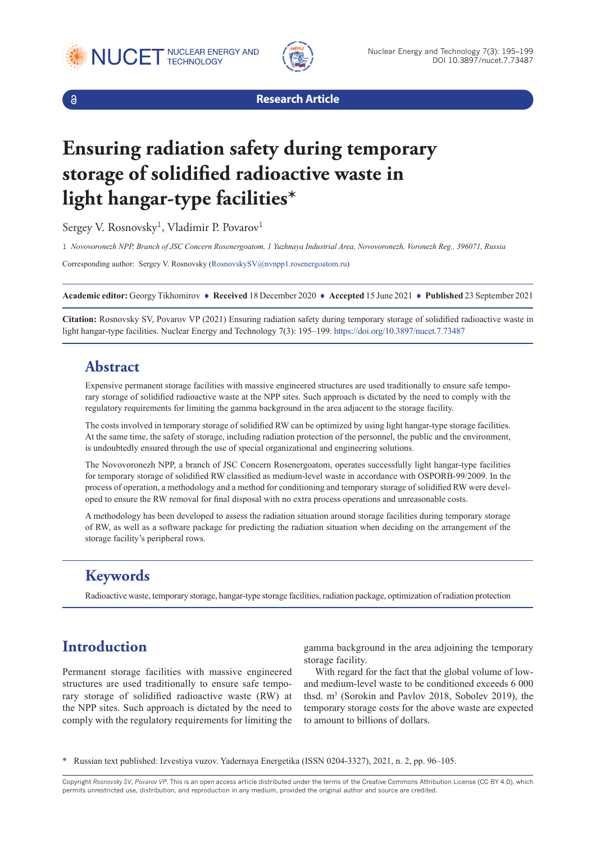





**Research Article**

# **Ensuring radiation safety during temporary storage of solidified radioactive waste in light hangar-type facilities\***

Sergey V. Rosnovsky<sup>1</sup>, Vladimir P. Povarov<sup>1</sup>

1 *Novovoronezh NPP, Branch of JSC Concern Rosenergoatom, 1 Yuzhnaya Industrial Area, Novovoronezh, Voronezh Reg., 396071, Russia*

Corresponding author: Sergey V. Rosnovsky [\(RosnovskySV@nvnpp1.rosenergoatom.ru\)](mailto:RosnovskySV@nvnpp1.rosenergoatom.ru)

**Academic editor:** Georgy Tikhomirov ♦ **Received** 18 December 2020 ♦ **Accepted** 15 June 2021 ♦ **Published** 23 September 2021

**Citation:** Rosnovsky SV, Povarov VP (2021) Ensuring radiation safety during temporary storage of solidified radioactive waste in light hangar-type facilities. Nuclear Energy and Technology 7(3): 195–199. <https://doi.org/10.3897/nucet.7.73487>

#### **Abstract**

Expensive permanent storage facilities with massive engineered structures are used traditionally to ensure safe temporary storage of solidified radioactive waste at the NPP sites. Such approach is dictated by the need to comply with the regulatory requirements for limiting the gamma background in the area adjacent to the storage facility.

The costs involved in temporary storage of solidified RW can be optimized by using light hangar-type storage facilities. At the same time, the safety of storage, including radiation protection of the personnel, the public and the environment, is undoubtedly ensured through the use of special organizational and engineering solutions.

The Novovoronezh NPP, a branch of JSC Concern Rosenergoatom, operates successfully light hangar-type facilities for temporary storage of solidified RW classified as medium-level waste in accordance with OSPORB-99/2009. In the process of operation, a methodology and a method for conditioning and temporary storage of solidified RW were developed to ensure the RW removal for final disposal with no extra process operations and unreasonable costs.

A methodology has been developed to assess the radiation situation around storage facilities during temporary storage of RW, as well as a software package for predicting the radiation situation when deciding on the arrangement of the storage facility's peripheral rows.

#### **Keywords**

Radioactive waste, temporary storage, hangar-type storage facilities, radiation package, optimization of radiation protection

## **Introduction**

Permanent storage facilities with massive engineered structures are used traditionally to ensure safe temporary storage of solidified radioactive waste (RW) at the NPP sites. Such approach is dictated by the need to comply with the regulatory requirements for limiting the

gamma background in the area adjoining the temporary storage facility.

With regard for the fact that the global volume of lowand medium-level waste to be conditioned exceeds 6 000 thsd. m3 (Sorokin and Pavlov 2018, Sobolev 2019), the temporary storage costs for the above waste are expected to amount to billions of dollars.

\* Russian text published: Izvestiya vuzov. Yadernaya Energetika (ISSN 0204-3327), 2021, n. 2, pp. 96–105.

Copyright *Rosnovsky SV, Povarov VP.* This is an open access article distributed under the terms of the Creative Commons Attribution License (CC-BY 4.0), which permits unrestricted use, distribution, and reproduction in any medium, provided the original author and source are credited.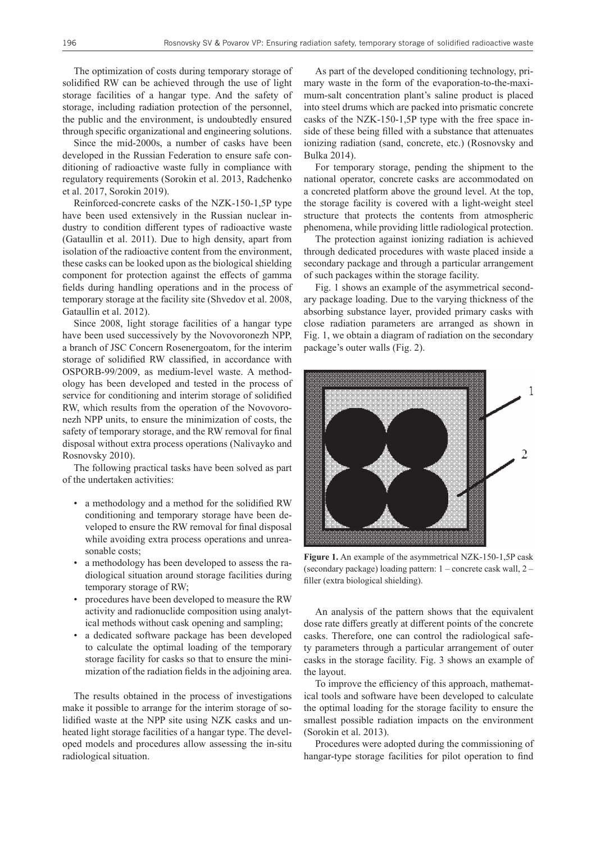The optimization of costs during temporary storage of solidified RW can be achieved through the use of light storage facilities of a hangar type. And the safety of storage, including radiation protection of the personnel, the public and the environment, is undoubtedly ensured through specific organizational and engineering solutions.

Since the mid-2000s, a number of casks have been developed in the Russian Federation to ensure safe conditioning of radioactive waste fully in compliance with regulatory requirements (Sorokin et al. 2013, Radchenko et al. 2017, Sorokin 2019).

Reinforced-concrete casks of the NZK-150-1,5P type have been used extensively in the Russian nuclear industry to condition different types of radioactive waste (Gataullin et al. 2011). Due to high density, apart from isolation of the radioactive content from the environment, these casks can be looked upon as the biological shielding component for protection against the effects of gamma fields during handling operations and in the process of temporary storage at the facility site (Shvedov et al. 2008, Gataullin et al. 2012).

Since 2008, light storage facilities of a hangar type have been used successively by the Novovoronezh NPP, a branch of JSC Concern Rosenergoatom, for the interim storage of solidified RW classified, in accordance with OSPORB-99/2009, as medium-level waste. A methodology has been developed and tested in the process of service for conditioning and interim storage of solidified RW, which results from the operation of the Novovoronezh NPP units, to ensure the minimization of costs, the safety of temporary storage, and the RW removal for final disposal without extra process operations (Nalivayko and Rosnovsky 2010).

The following practical tasks have been solved as part of the undertaken activities:

- a methodology and a method for the solidified RW conditioning and temporary storage have been developed to ensure the RW removal for final disposal while avoiding extra process operations and unreasonable costs;
- a methodology has been developed to assess the radiological situation around storage facilities during temporary storage of RW;
- procedures have been developed to measure the RW activity and radionuclide composition using analytical methods without cask opening and sampling;
- a dedicated software package has been developed to calculate the optimal loading of the temporary storage facility for casks so that to ensure the minimization of the radiation fields in the adjoining area.

The results obtained in the process of investigations make it possible to arrange for the interim storage of solidified waste at the NPP site using NZK casks and unheated light storage facilities of a hangar type. The developed models and procedures allow assessing the in-situ radiological situation.

As part of the developed conditioning technology, primary waste in the form of the evaporation-to-the-maximum-salt concentration plant's saline product is placed into steel drums which are packed into prismatic concrete casks of the NZK-150-1,5P type with the free space inside of these being filled with a substance that attenuates ionizing radiation (sand, concrete, etc.) (Rosnovsky and Bulka 2014).

For temporary storage, pending the shipment to the national operator, concrete casks are accommodated on a concreted platform above the ground level. At the top, the storage facility is covered with a light-weight steel structure that protects the contents from atmospheric phenomena, while providing little radiological protection.

The protection against ionizing radiation is achieved through dedicated procedures with waste placed inside a secondary package and through a particular arrangement of such packages within the storage facility.

Fig. 1 shows an example of the asymmetrical secondary package loading. Due to the varying thickness of the absorbing substance layer, provided primary casks with close radiation parameters are arranged as shown in Fig. 1, we obtain a diagram of radiation on the secondary package's outer walls (Fig. 2).



**Figure 1.** An example of the asymmetrical NZK-150-1,5P cask (secondary package) loading pattern: 1 – concrete cask wall, 2 – filler (extra biological shielding).

An analysis of the pattern shows that the equivalent dose rate differs greatly at different points of the concrete casks. Therefore, one can control the radiological safety parameters through a particular arrangement of outer casks in the storage facility. Fig. 3 shows an example of the layout.

To improve the efficiency of this approach, mathematical tools and software have been developed to calculate the optimal loading for the storage facility to ensure the smallest possible radiation impacts on the environment (Sorokin et al. 2013).

Procedures were adopted during the commissioning of hangar-type storage facilities for pilot operation to find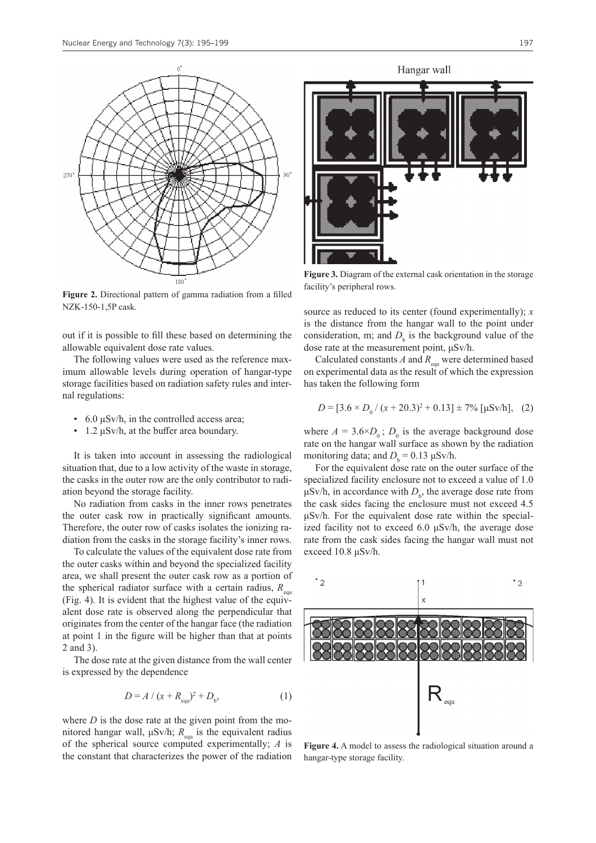

**Figure 2.** Directional pattern of gamma radiation from a filled NZK-150-1,5P cask.

out if it is possible to fill these based on determining the allowable equivalent dose rate values.

The following values were used as the reference maximum allowable levels during operation of hangar-type storage facilities based on radiation safety rules and internal regulations:

- 6.0  $\mu$ Sv/h, in the controlled access area;
- 1.2 μSv/h, at the buffer area boundary.

It is taken into account in assessing the radiological situation that, due to a low activity of the waste in storage, the casks in the outer row are the only contributor to radiation beyond the storage facility.

No radiation from casks in the inner rows penetrates the outer cask row in practically significant amounts. Therefore, the outer row of casks isolates the ionizing radiation from the casks in the storage facility's inner rows.

To calculate the values of the equivalent dose rate from the outer casks within and beyond the specialized facility area, we shall present the outer cask row as a portion of the spherical radiator surface with a certain radius,  $R_{\text{equ}}$ (Fig. 4). It is evident that the highest value of the equivalent dose rate is observed along the perpendicular that originates from the center of the hangar face (the radiation at point 1 in the figure will be higher than that at points 2 and 3).

The dose rate at the given distance from the wall center is expressed by the dependence

$$
D = A / (x + R_{\text{equ}})^2 + D_{\text{b}},
$$
 (1)

where  $D$  is the dose rate at the given point from the monitored hangar wall,  $\mu$ Sv/h;  $R_{\text{equ}}$  is the equivalent radius of the spherical source computed experimentally; *A* is the constant that characterizes the power of the radiation



**Figure 3.** Diagram of the external cask orientation in the storage facility's peripheral rows.

source as reduced to its center (found experimentally); *х* is the distance from the hangar wall to the point under consideration, m; and  $D<sub>b</sub>$  is the background value of the dose rate at the measurement point, μSv/h.

Calculated constants  $A$  and  $R_{\text{e,}q}$  were determined based on experimental data as the result of which the expression has taken the following form

$$
D = [3.6 \times D_0 / (x + 20.3)^2 + 0.13] \pm 7\% \text{ [}\mu\text{Sv/h\text{]}, \quad (2)
$$

where  $A = 3.6 \times D_0$ ;  $D_0$  is the average background dose rate on the hangar wall surface as shown by the radiation monitoring data; and  $D<sub>b</sub> = 0.13 \text{ }\mu\text{Sv/h}.$ 

For the equivalent dose rate on the outer surface of the specialized facility enclosure not to exceed a value of 1.0 μSv/h, in accordance with  $D<sub>b</sub>$ , the average dose rate from the cask sides facing the enclosure must not exceed 4.5 μSv/h. For the equivalent dose rate within the specialized facility not to exceed 6.0  $\mu$ Sv/h, the average dose rate from the cask sides facing the hangar wall must not exceed 10.8 μSv/h.



**Figure 4.** A model to assess the radiological situation around a hangar-type storage facility.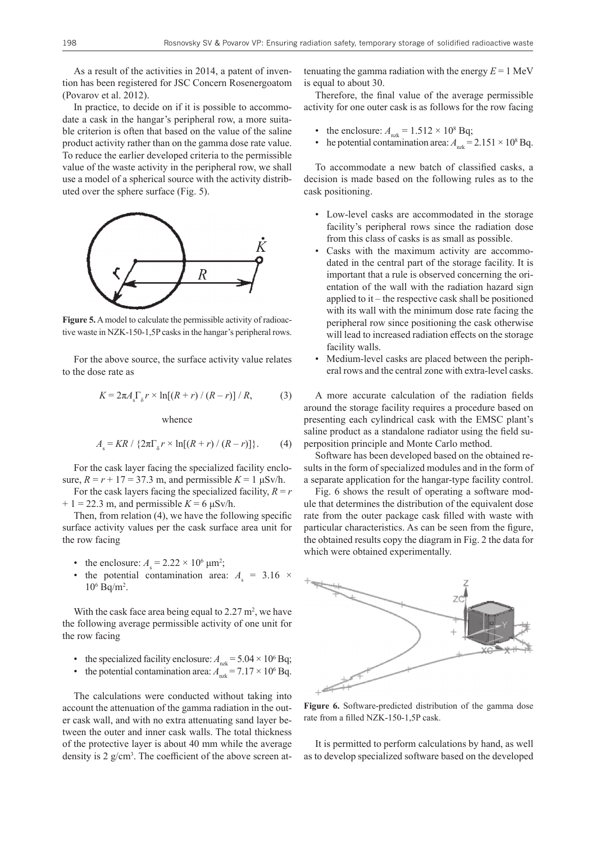As a result of the activities in 2014, a patent of invention has been registered for JSC Concern Rosenergoatom (Povarov et al. 2012).

In practice, to decide on if it is possible to accommodate a cask in the hangar's peripheral row, a more suitable criterion is often that based on the value of the saline product activity rather than on the gamma dose rate value. To reduce the earlier developed criteria to the permissible value of the waste activity in the peripheral row, we shall use a model of a spherical source with the activity distributed over the sphere surface (Fig. 5).



**Figure 5.** A model to calculate the permissible activity of radioactive waste in NZK-150-1,5P casks in the hangar's peripheral rows.

For the above source, the surface activity value relates to the dose rate as

$$
K = 2\pi A_s \Gamma_s r \times \ln[(R+r)/(R-r)]/R, \tag{3}
$$

whence

$$
A_{s} = KR / \left\{2\pi\Gamma_{\delta} r \times \ln[(R+r) / (R-r)]\right\}.
$$
 (4)

For the cask layer facing the specialized facility enclosure,  $R = r + 17 = 37.3$  m, and permissible  $K = 1$   $\mu$ Sv/h.

For the cask layers facing the specialized facility,  $R = r$  $+ 1 = 22.3$  m, and permissible  $K = 6 \mu$ Sv/h.

Then, from relation (4), we have the following specific surface activity values per the cask surface area unit for the row facing

- the enclosure:  $A_s = 2.22 \times 10^6 \text{ }\mu\text{m}^2$ ;
- the potential contamination area:  $A_s = 3.16 \times$  $10^6$  Bq/m<sup>2</sup>.

With the cask face area being equal to  $2.27 \text{ m}^2$ , we have the following average permissible activity of one unit for the row facing

- the specialized facility enclosure:  $A_{\text{nzk}} = 5.04 \times 10^6$  Bq;
- the potential contamination area:  $A_{\text{nzk}} = 7.17 \times 10^6$  Bq.

The calculations were conducted without taking into account the attenuation of the gamma radiation in the outer cask wall, and with no extra attenuating sand layer between the outer and inner cask walls. The total thickness of the protective layer is about 40 mm while the average density is 2 g/cm<sup>3</sup>. The coefficient of the above screen attenuating the gamma radiation with the energy  $E = 1$  MeV is equal to about 30.

Therefore, the final value of the average permissible activity for one outer cask is as follows for the row facing

- the enclosure:  $A_{\text{nzk}} = 1.512 \times 10^8$  Bq;
- he potential contamination area:  $A_{\text{nzk}} = 2.151 \times 10^8$  Bq.

To accommodate a new batch of classified casks, a decision is made based on the following rules as to the cask positioning.

- Low-level casks are accommodated in the storage facility's peripheral rows since the radiation dose from this class of casks is as small as possible.
- Casks with the maximum activity are accommodated in the central part of the storage facility. It is important that a rule is observed concerning the orientation of the wall with the radiation hazard sign applied to it – the respective cask shall be positioned with its wall with the minimum dose rate facing the peripheral row since positioning the cask otherwise will lead to increased radiation effects on the storage facility walls.
- Medium-level casks are placed between the peripheral rows and the central zone with extra-level casks.

A more accurate calculation of the radiation fields around the storage facility requires a procedure based on presenting each cylindrical cask with the EMSC plant's saline product as a standalone radiator using the field superposition principle and Monte Carlo method.

Software has been developed based on the obtained results in the form of specialized modules and in the form of a separate application for the hangar-type facility control.

Fig. 6 shows the result of operating a software module that determines the distribution of the equivalent dose rate from the outer package cask filled with waste with particular characteristics. As can be seen from the figure, the obtained results copy the diagram in Fig. 2 the data for which were obtained experimentally.



**Figure 6.** Software-predicted distribution of the gamma dose rate from a filled NZK-150-1,5P cask.

It is permitted to perform calculations by hand, as well as to develop specialized software based on the developed